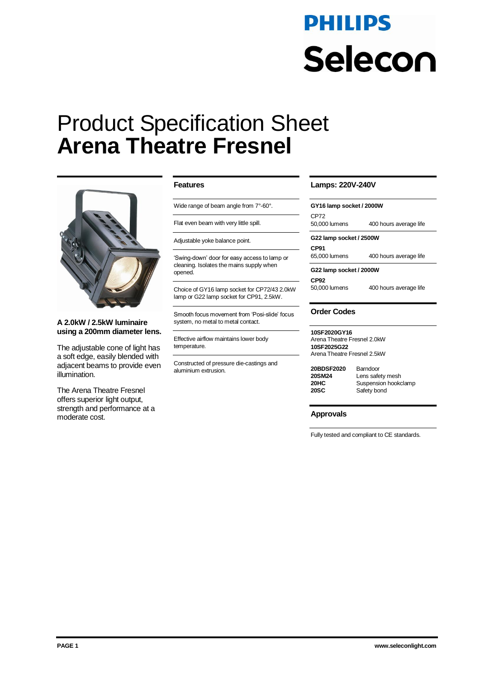# **PHILIPS** Selecon

# Product Specification Sheet **Arena Theatre Fresnel**



**A 2.0kW / 2.5kW luminaire using a 200mm diameter lens.** 

The adjustable cone of light has a soft edge, easily blended with adjacent beams to provide even illumination.

The Arena Theatre Fresnel offers superior light output, strength and performance at a moderate cost.

#### **Features**

Wide range of beam angle from 7°-60°.

Flat even beam with very little spill.

Adjustable yoke balance point.

'Swing-down' door for easy access to lamp or cleaning. Isolates the mains supply when opened.

Choice of GY16 lamp socket for CP72/43 2.0kW lamp or G22 lamp socket for CP91, 2.5kW.

Smooth focus movement from 'Posi-slide' focus system, no metal to metal contact.

Effective airflow maintains lower body temperature.

Constructed of pressure die-castings and aluminium extrusion.

### **Lamps: 220V-240V**

| GY16 lamp socket / 2000W |                        |  |
|--------------------------|------------------------|--|
| CP72<br>50,000 lumens    | 400 hours average life |  |
| G22 lamp socket / 2500W  |                        |  |
| CP91                     |                        |  |

65,000 lumens 400 hours average life

**G22 lamp socket / 2000W**

**CP92**<br>50,000 lumens

#### 400 hours average life

# **Order Codes**

**10SF2020GY16** Arena Theatre Fresnel 2.0kW **10SF2025G22** Arena Theatre Fresnel 2.5kW

**20BDSF2020** Barndoor

**20SM24** Lens safety mesh<br>**20HC** Suspension hooke **20HC** Suspension hookclamp **Safety bond** 

#### **Approvals**

Fully tested and compliant to CE standards.